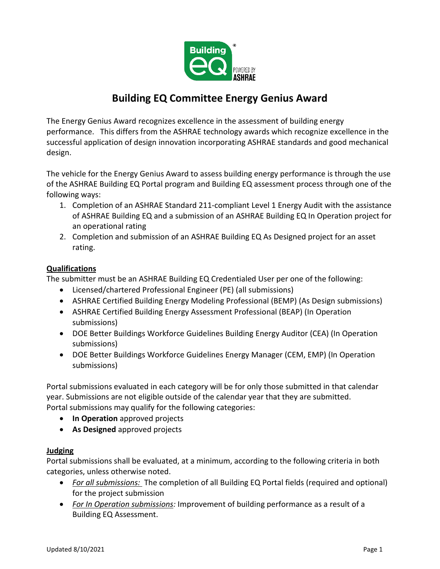

# **Building EQ Committee Energy Genius Award**

The Energy Genius Award recognizes excellence in the assessment of building energy performance. This differs from the ASHRAE technology awards which recognize excellence in the successful application of design innovation incorporating ASHRAE standards and good mechanical design.

The vehicle for the Energy Genius Award to assess building energy performance is through the use of the ASHRAE Building EQ Portal program and Building EQ assessment process through one of the following ways:

- 1. Completion of an ASHRAE Standard 211-compliant Level 1 Energy Audit with the assistance of ASHRAE Building EQ and a submission of an ASHRAE Building EQ In Operation project for an operational rating
- 2. Completion and submission of an ASHRAE Building EQ As Designed project for an asset rating.

# **Qualifications**

The submitter must be an ASHRAE Building EQ Credentialed User per one of the following:

- Licensed/chartered Professional Engineer (PE) (all submissions)
- ASHRAE Certified Building Energy Modeling Professional (BEMP) (As Design submissions)
- ASHRAE Certified Building Energy Assessment Professional (BEAP) (In Operation submissions)
- DOE Better Buildings Workforce Guidelines Building Energy Auditor (CEA) (In Operation submissions)
- DOE Better Buildings Workforce Guidelines Energy Manager (CEM, EMP) (In Operation submissions)

Portal submissions evaluated in each category will be for only those submitted in that calendar year. Submissions are not eligible outside of the calendar year that they are submitted. Portal submissions may qualify for the following categories:

- **In Operation** approved projects
- **As Designed** approved projects

# **Judging**

Portal submissions shall be evaluated, at a minimum, according to the following criteria in both categories, unless otherwise noted.

- *For all submissions:* The completion of all Building EQ Portal fields (required and optional) for the project submission
- *For In Operation submissions:* Improvement of building performance as a result of a Building EQ Assessment.